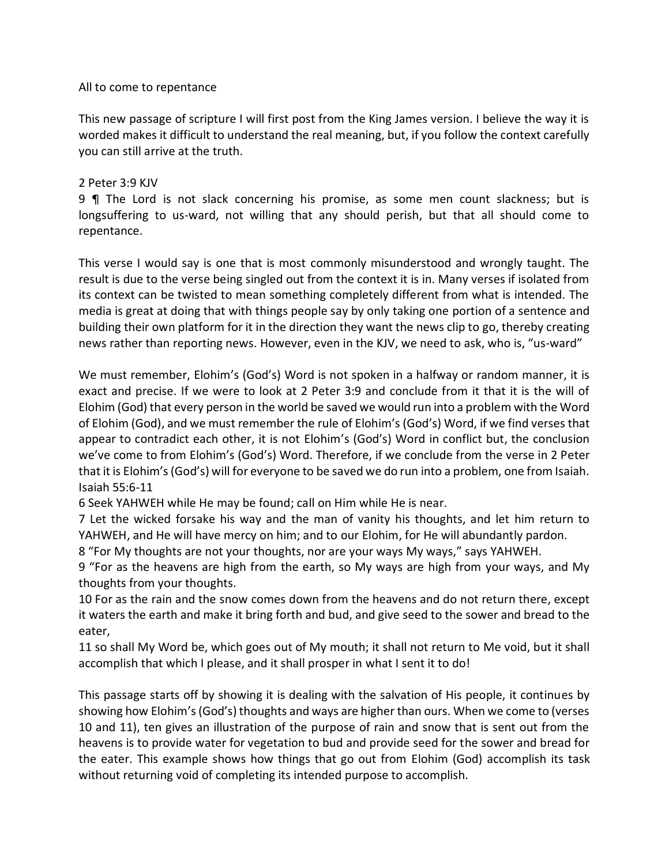## All to come to repentance

This new passage of scripture I will first post from the King James version. I believe the way it is worded makes it difficult to understand the real meaning, but, if you follow the context carefully you can still arrive at the truth.

## 2 Peter 3:9 KJV

9 ¶ The Lord is not slack concerning his promise, as some men count slackness; but is longsuffering to us-ward, not willing that any should perish, but that all should come to repentance.

This verse I would say is one that is most commonly misunderstood and wrongly taught. The result is due to the verse being singled out from the context it is in. Many verses if isolated from its context can be twisted to mean something completely different from what is intended. The media is great at doing that with things people say by only taking one portion of a sentence and building their own platform for it in the direction they want the news clip to go, thereby creating news rather than reporting news. However, even in the KJV, we need to ask, who is, "us-ward"

We must remember, Elohim's (God's) Word is not spoken in a halfway or random manner, it is exact and precise. If we were to look at 2 Peter 3:9 and conclude from it that it is the will of Elohim (God) that every person in the world be saved we would run into a problem with the Word of Elohim (God), and we must remember the rule of Elohim's (God's) Word, if we find verses that appear to contradict each other, it is not Elohim's (God's) Word in conflict but, the conclusion we've come to from Elohim's (God's) Word. Therefore, if we conclude from the verse in 2 Peter that it is Elohim's (God's) will for everyone to be saved we do run into a problem, one from Isaiah. Isaiah 55:6-11

6 Seek YAHWEH while He may be found; call on Him while He is near.

7 Let the wicked forsake his way and the man of vanity his thoughts, and let him return to YAHWEH, and He will have mercy on him; and to our Elohim, for He will abundantly pardon.

8 "For My thoughts are not your thoughts, nor are your ways My ways," says YAHWEH.

9 "For as the heavens are high from the earth, so My ways are high from your ways, and My thoughts from your thoughts.

10 For as the rain and the snow comes down from the heavens and do not return there, except it waters the earth and make it bring forth and bud, and give seed to the sower and bread to the eater,

11 so shall My Word be, which goes out of My mouth; it shall not return to Me void, but it shall accomplish that which I please, and it shall prosper in what I sent it to do!

This passage starts off by showing it is dealing with the salvation of His people, it continues by showing how Elohim's (God's) thoughts and ways are higher than ours. When we come to (verses 10 and 11), ten gives an illustration of the purpose of rain and snow that is sent out from the heavens is to provide water for vegetation to bud and provide seed for the sower and bread for the eater. This example shows how things that go out from Elohim (God) accomplish its task without returning void of completing its intended purpose to accomplish.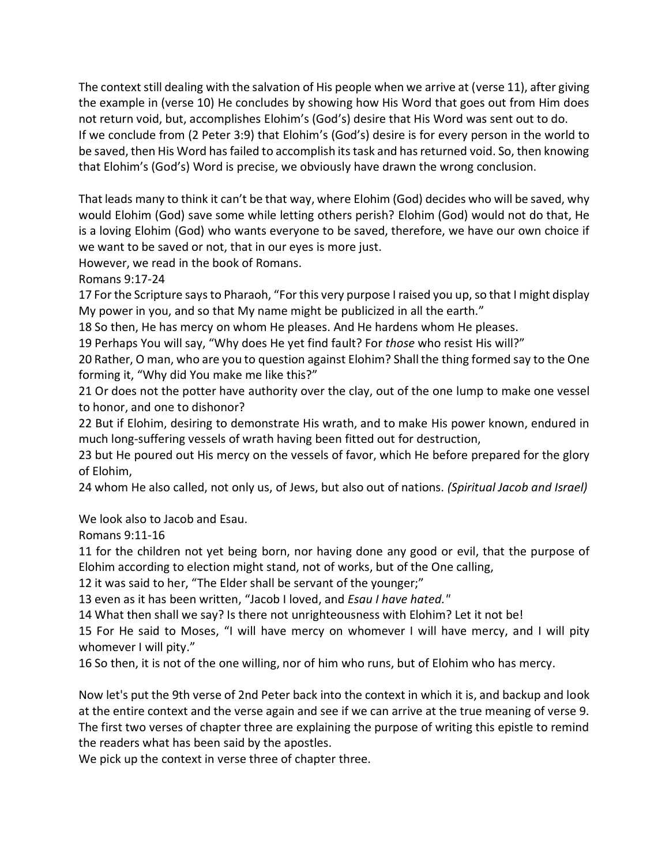The context still dealing with the salvation of His people when we arrive at (verse 11), after giving the example in (verse 10) He concludes by showing how His Word that goes out from Him does not return void, but, accomplishes Elohim's (God's) desire that His Word was sent out to do. If we conclude from (2 Peter 3:9) that Elohim's (God's) desire is for every person in the world to be saved, then His Word has failed to accomplish its task and has returned void. So, then knowing that Elohim's (God's) Word is precise, we obviously have drawn the wrong conclusion.

That leads many to think it can't be that way, where Elohim (God) decides who will be saved, why would Elohim (God) save some while letting others perish? Elohim (God) would not do that, He is a loving Elohim (God) who wants everyone to be saved, therefore, we have our own choice if we want to be saved or not, that in our eyes is more just.

However, we read in the book of Romans.

Romans 9:17-24

17 For the Scripture says to Pharaoh, "For this very purpose I raised you up, so that I might display My power in you, and so that My name might be publicized in all the earth."

18 So then, He has mercy on whom He pleases. And He hardens whom He pleases.

19 Perhaps You will say, "Why does He yet find fault? For *those* who resist His will?"

20 Rather, O man, who are you to question against Elohim? Shall the thing formed say to the One forming it, "Why did You make me like this?"

21 Or does not the potter have authority over the clay, out of the one lump to make one vessel to honor, and one to dishonor?

22 But if Elohim, desiring to demonstrate His wrath, and to make His power known, endured in much long-suffering vessels of wrath having been fitted out for destruction,

23 but He poured out His mercy on the vessels of favor, which He before prepared for the glory of Elohim,

24 whom He also called, not only us, of Jews, but also out of nations. *(Spiritual Jacob and Israel)*

We look also to Jacob and Esau.

Romans 9:11-16

11 for the children not yet being born, nor having done any good or evil, that the purpose of Elohim according to election might stand, not of works, but of the One calling,

12 it was said to her, "The Elder shall be servant of the younger;"

13 even as it has been written, "Jacob I loved, and *Esau I have hated."*

14 What then shall we say? Is there not unrighteousness with Elohim? Let it not be!

15 For He said to Moses, "I will have mercy on whomever I will have mercy, and I will pity whomever I will pity."

16 So then, it is not of the one willing, nor of him who runs, but of Elohim who has mercy.

Now let's put the 9th verse of 2nd Peter back into the context in which it is, and backup and look at the entire context and the verse again and see if we can arrive at the true meaning of verse 9. The first two verses of chapter three are explaining the purpose of writing this epistle to remind the readers what has been said by the apostles.

We pick up the context in verse three of chapter three.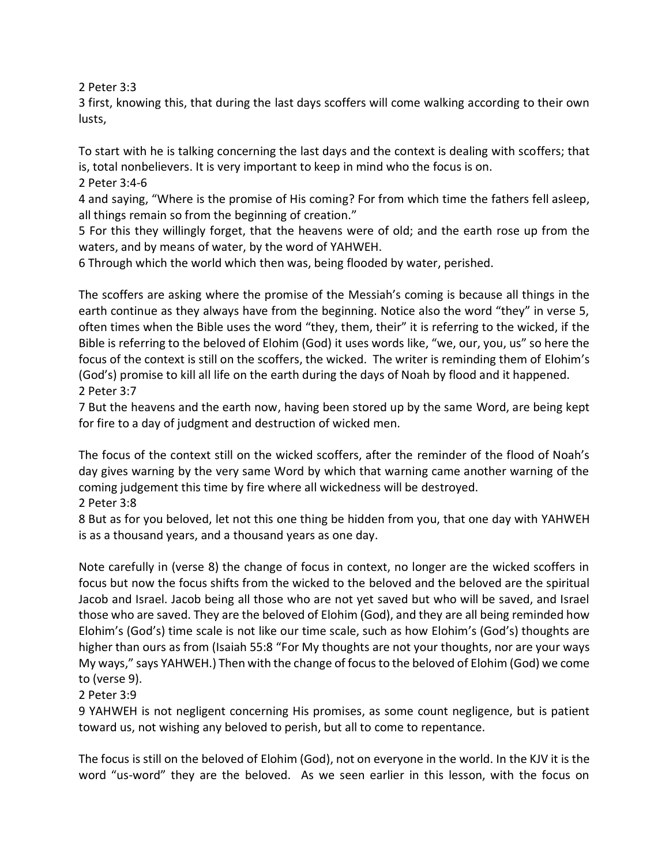2 Peter 3:3

3 first, knowing this, that during the last days scoffers will come walking according to their own lusts,

To start with he is talking concerning the last days and the context is dealing with scoffers; that is, total nonbelievers. It is very important to keep in mind who the focus is on.

2 Peter 3:4-6

4 and saying, "Where is the promise of His coming? For from which time the fathers fell asleep, all things remain so from the beginning of creation."

5 For this they willingly forget, that the heavens were of old; and the earth rose up from the waters, and by means of water, by the word of YAHWEH.

6 Through which the world which then was, being flooded by water, perished.

The scoffers are asking where the promise of the Messiah's coming is because all things in the earth continue as they always have from the beginning. Notice also the word "they" in verse 5, often times when the Bible uses the word "they, them, their" it is referring to the wicked, if the Bible is referring to the beloved of Elohim (God) it uses words like, "we, our, you, us" so here the focus of the context is still on the scoffers, the wicked. The writer is reminding them of Elohim's (God's) promise to kill all life on the earth during the days of Noah by flood and it happened. 2 Peter 3:7

7 But the heavens and the earth now, having been stored up by the same Word, are being kept for fire to a day of judgment and destruction of wicked men.

The focus of the context still on the wicked scoffers, after the reminder of the flood of Noah's day gives warning by the very same Word by which that warning came another warning of the coming judgement this time by fire where all wickedness will be destroyed.

2 Peter 3:8

8 But as for you beloved, let not this one thing be hidden from you, that one day with YAHWEH is as a thousand years, and a thousand years as one day.

Note carefully in (verse 8) the change of focus in context, no longer are the wicked scoffers in focus but now the focus shifts from the wicked to the beloved and the beloved are the spiritual Jacob and Israel. Jacob being all those who are not yet saved but who will be saved, and Israel those who are saved. They are the beloved of Elohim (God), and they are all being reminded how Elohim's (God's) time scale is not like our time scale, such as how Elohim's (God's) thoughts are higher than ours as from (Isaiah 55:8 "For My thoughts are not your thoughts, nor are your ways My ways," says YAHWEH.) Then with the change of focus to the beloved of Elohim (God) we come to (verse 9).

## 2 Peter 3:9

9 YAHWEH is not negligent concerning His promises, as some count negligence, but is patient toward us, not wishing any beloved to perish, but all to come to repentance.

The focus is still on the beloved of Elohim (God), not on everyone in the world. In the KJV it is the word "us-word" they are the beloved. As we seen earlier in this lesson, with the focus on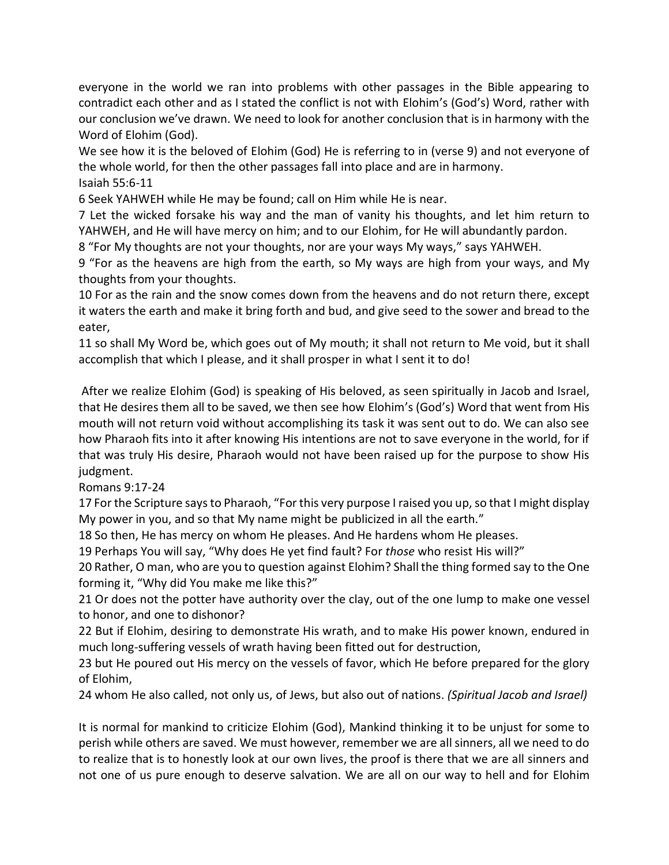everyone in the world we ran into problems with other passages in the Bible appearing to contradict each other and as I stated the conflict is not with Elohim's (God's) Word, rather with our conclusion we've drawn. We need to look for another conclusion that is in harmony with the Word of Elohim (God).

We see how it is the beloved of Elohim (God) He is referring to in (verse 9) and not everyone of the whole world, for then the other passages fall into place and are in harmony. Isaiah 55:6-11

6 Seek YAHWEH while He may be found; call on Him while He is near.

7 Let the wicked forsake his way and the man of vanity his thoughts, and let him return to YAHWEH, and He will have mercy on him; and to our Elohim, for He will abundantly pardon.

8 "For My thoughts are not your thoughts, nor are your ways My ways," says YAHWEH.

9 "For as the heavens are high from the earth, so My ways are high from your ways, and My thoughts from your thoughts.

10 For as the rain and the snow comes down from the heavens and do not return there, except it waters the earth and make it bring forth and bud, and give seed to the sower and bread to the eater,

11 so shall My Word be, which goes out of My mouth; it shall not return to Me void, but it shall accomplish that which I please, and it shall prosper in what I sent it to do!

After we realize Elohim (God) is speaking of His beloved, as seen spiritually in Jacob and Israel, that He desires them all to be saved, we then see how Elohim's (God's) Word that went from His mouth will not return void without accomplishing its task it was sent out to do. We can also see how Pharaoh fits into it after knowing His intentions are not to save everyone in the world, for if that was truly His desire, Pharaoh would not have been raised up for the purpose to show His judgment.

Romans 9:17-24

17 For the Scripture says to Pharaoh, "For this very purpose I raised you up, so that I might display My power in you, and so that My name might be publicized in all the earth."

18 So then, He has mercy on whom He pleases. And He hardens whom He pleases.

19 Perhaps You will say, "Why does He yet find fault? For *those* who resist His will?"

20 Rather, O man, who are you to question against Elohim? Shall the thing formed say to the One forming it, "Why did You make me like this?"

21 Or does not the potter have authority over the clay, out of the one lump to make one vessel to honor, and one to dishonor?

22 But if Elohim, desiring to demonstrate His wrath, and to make His power known, endured in much long-suffering vessels of wrath having been fitted out for destruction,

23 but He poured out His mercy on the vessels of favor, which He before prepared for the glory of Elohim,

24 whom He also called, not only us, of Jews, but also out of nations. *(Spiritual Jacob and Israel)*

It is normal for mankind to criticize Elohim (God), Mankind thinking it to be unjust for some to perish while others are saved. We must however, remember we are all sinners, all we need to do to realize that is to honestly look at our own lives, the proof is there that we are all sinners and not one of us pure enough to deserve salvation. We are all on our way to hell and for Elohim